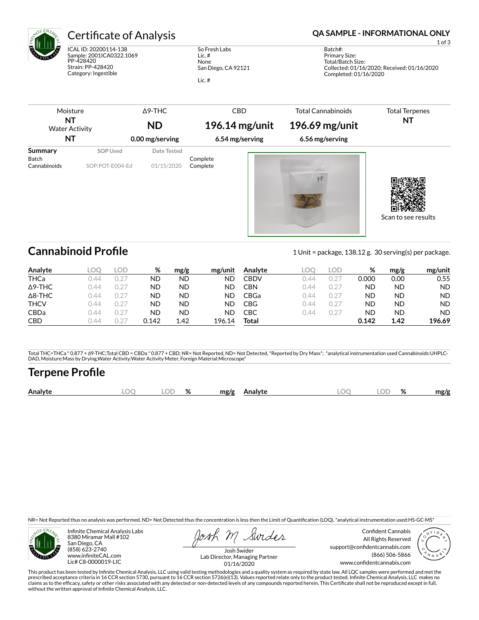

ICAL ID: 20200114-138 Sample: 2001ICA0322.1069 PP-428420 Strain: PP-428420 Category: Ingestible

So Fresh Labs Lic. # None San Diego, CA 92121 Lic. #

## Certificate of Analysis **Certificate of Analysis QA SAMPLE - INFORMATIONAL ONLY**

1 of 3

Batch#: Primary Size: Total/Batch Size: Collected: 01/16/2020; Received: 01/16/2020 Completed: 01/16/2020

| Moisture<br>ΝT<br><b>Water Activity</b><br>ΝT |                             | $\Delta$ 9-THC<br><b>ND</b><br>0.00 mg/serving | <b>CBD</b><br>$196.14$ mg/unit<br>6.54 mg/serving | <b>Total Cannabinoids</b><br>196.69 mg/unit<br>6.56 mg/serving | <b>Total Terpenes</b><br>ΝT |
|-----------------------------------------------|-----------------------------|------------------------------------------------|---------------------------------------------------|----------------------------------------------------------------|-----------------------------|
| Summary<br>Batch<br>Cannabinoids              | SOP Used<br>SOP:POT-E004-Ed | Date Tested<br>01/15/2020                      | Complete<br>Complete                              |                                                                |                             |
|                                               |                             |                                                |                                                   | PP                                                             |                             |

**Cannabinoid Profile** 2 and 2 Unit = package, 138.12 g. 30 serving(s) per package.

Scan to see results

| Analyte        | LOO  | LOD   | %     | mg/g | mg/unit | Analyte | LOC  | LOD.      | %     | mg/g | mg/unit |
|----------------|------|-------|-------|------|---------|---------|------|-----------|-------|------|---------|
| <b>THCa</b>    | 144  | .127  | ND    | ND   | ND      | CBDV    | 144  | 0.2       | 0.000 | 0.00 | 0.55    |
| $\Delta$ 9-THC | ገ 44 | (127) | ND    | ND   | ND      | CBN     | ገ 44 | 0.2       | ND    | ND   | ND.     |
| $\Delta$ 8-THC | ገ 44 | (127) | ND    | ND   | ND      | CBGa    | N 44 | $0.2^{-}$ | ND    | ND   | ND.     |
| <b>THCV</b>    | ገ 44 | 0.27  | ND    | ND   | ND.     | CBG     | ገ 44 | 0.27      | ND    | ND   | ND.     |
| <b>CBDa</b>    | ገ 44 | (127) | ND    | ND   | ND      | СВС     | N 44 | 0.27      | ND    | ND   | ND.     |
| <b>CBD</b>     | 144  |       | 0.142 | 1.42 | 196.14  | Total   |      |           | 0.142 | 1.42 | 196.69  |

Total THC=THCa \* 0.877 + d9-THC;Total CBD = CBDa \* 0.877 + CBD; NR= Not Reported, ND= Not Detected, \*Reported by Dry Mass\*; \*analytical instrumentation used Cannabinoids:UHPLC-DAD, Moisture:Mass by Drying,Water Activity:Water Activity Meter, Foreign Material:Microscope\*

# **Terpene Profile**

| OГ<br>Analyte<br>ΙC<br>ЭΓ<br>mg/g<br>mg/g<br><b>\nalvte</b><br>7٥<br>70 |
|-------------------------------------------------------------------------|
|-------------------------------------------------------------------------|

NR= Not Reported thus no analysis was performed, ND= Not Detected thus the concentration is less then the Limit of Quantification (LOQ), \*analytical instrumentation used:HS-GC-MS\*



Infinite Chemical Analysis Labs 8380 Miramar Mall #102 San Diego, CA (858) 623-2740 www.infiniteCAL.com Lic# C8-0000019-LIC

Swides

Confident Cannabis All Rights Reserved support@confidentcannabis.com (866) 506-5866 www.confidentcannabis.com



Josh Swider Lab Director, Managing Partner 01/16/2020

This product has been tested by Infinite Chemical Analysis, LLC using valid testing methodologies and a quality system as required by state law. All LQC samples were performed and met the prescribed acceptance criteria in 16 CCR section 5730, pursuant to 16 CCR section 5726(e)(13). Values reported relate only to the product tested. Infinite Chemical Analysis, LLC makes no<br>claims as to the efficacy, safety o without the written approval of Infinite Chemical Analysis, LLC.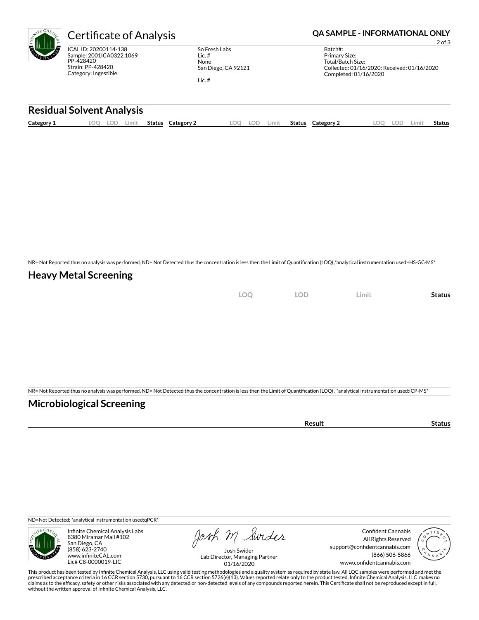

ICAL ID: 20200114-138 Sample: 2001ICA0322.1069 PP-428420 Strain: PP-428420 Category: Ingestible

So Fresh Labs Lic. # None San Diego, CA 92121 Lic. #

Certificate of Analysis **Certificate of Analysis QA SAMPLE - INFORMATIONAL ONLY** 

2 of 3

| Batch#:                                     |  |
|---------------------------------------------|--|
| Primary Size:                               |  |
| Total/Batch Size:                           |  |
| Collected: 01/16/2020; Received: 01/16/2020 |  |
| Completed: 01/16/2020                       |  |
|                                             |  |

### **Residual Solvent Analysis**

|  | Category 1 | $\sim$ $\sim$<br><u>.</u> | -UL | Limit | Status | Category | OO | LOD | Limit | <b>Status</b> | Category 2 | nn<br>$\sim$ | LOD | .imi | Status |
|--|------------|---------------------------|-----|-------|--------|----------|----|-----|-------|---------------|------------|--------------|-----|------|--------|
|--|------------|---------------------------|-----|-------|--------|----------|----|-----|-------|---------------|------------|--------------|-----|------|--------|

NR= Not Reported thus no analysis was performed, ND= Not Detected thus the concentration is less then the Limit of Quantification (LOQ),\*analytical instrumentation used=HS-GC-MS\*

## **Heavy Metal Screening**

| $\sim$<br>к<br>$-$<br>$\sim$ | $\cap \Gamma$<br>◡ | Limi | Status |
|------------------------------|--------------------|------|--------|
|                              |                    |      |        |

NR= Not Reported thus no analysis was performed, ND= Not Detected thus the concentration is less then the Limit of Quantification (LOQ) , \*analytical instrumentation used:ICP-MS\*

## **Microbiological Screening**

| the contract of the contract of the contract of<br>чн |  |
|-------------------------------------------------------|--|
|                                                       |  |

ND=Not Detected; \*analytical instrumentation used:qPCR\*



Infinite Chemical Analysis Labs 8380 Miramar Mall #102 San Diego, CA (858) 623-2740 www.infiniteCAL.com Lic# C8-0000019-LIC

Josh M Swider

Confident Cannabis All Rights Reserved support@confidentcannabis.com (866) 506-5866 www.confidentcannabis.com



Josh Swider Lab Director, Managing Partner 01/16/2020

This product has been tested by Infinite Chemical Analysis, LLC using valid testing methodologies and a quality system as required by state law. All LQC samples were performed and met the<br>prescribed acceptance criteria in without the written approval of Infinite Chemical Analysis, LLC.